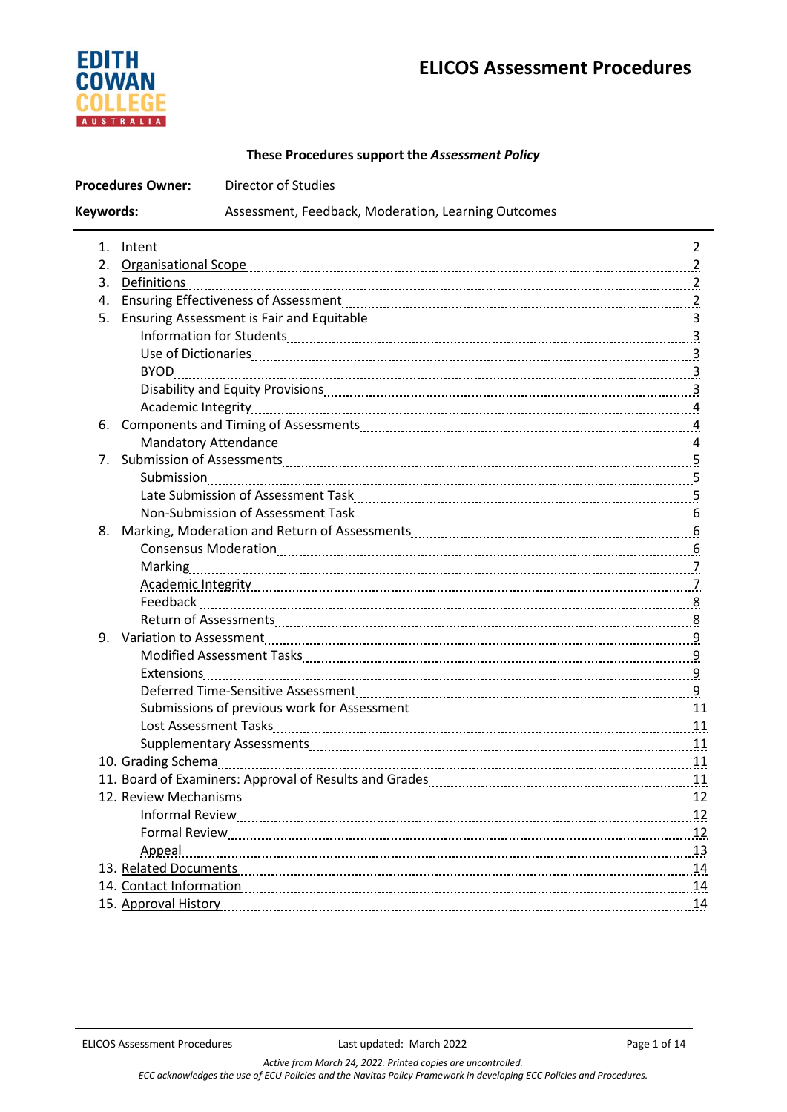# **ELICOS Assessment Procedures**



# **These Procedures support the** *Assessment Policy*

| <b>Procedures Owner:</b><br><b>Director of Studies</b>           |                                                                                                                       |    |  |
|------------------------------------------------------------------|-----------------------------------------------------------------------------------------------------------------------|----|--|
| Keywords:<br>Assessment, Feedback, Moderation, Learning Outcomes |                                                                                                                       |    |  |
|                                                                  |                                                                                                                       |    |  |
|                                                                  |                                                                                                                       |    |  |
|                                                                  | 3. Definitions                                                                                                        |    |  |
| 4.                                                               |                                                                                                                       |    |  |
| 5.                                                               |                                                                                                                       |    |  |
|                                                                  |                                                                                                                       |    |  |
|                                                                  |                                                                                                                       |    |  |
|                                                                  |                                                                                                                       |    |  |
|                                                                  |                                                                                                                       |    |  |
|                                                                  |                                                                                                                       |    |  |
| 6.                                                               |                                                                                                                       |    |  |
|                                                                  |                                                                                                                       |    |  |
|                                                                  |                                                                                                                       |    |  |
|                                                                  |                                                                                                                       |    |  |
|                                                                  |                                                                                                                       |    |  |
|                                                                  |                                                                                                                       |    |  |
|                                                                  |                                                                                                                       |    |  |
|                                                                  |                                                                                                                       |    |  |
|                                                                  |                                                                                                                       |    |  |
|                                                                  | Academic Integrity [11] Academic Integrity [11] Academic Integrity [11] Academic Integrity [11] Academic Integrity [1 |    |  |
|                                                                  |                                                                                                                       |    |  |
|                                                                  |                                                                                                                       |    |  |
|                                                                  |                                                                                                                       |    |  |
|                                                                  |                                                                                                                       |    |  |
|                                                                  |                                                                                                                       |    |  |
|                                                                  | Deferred Time-Sensitive Assessment [11] Deferred Time-Sensitive Assessment [10] Deferred Time-Sensitive Assessment    |    |  |
|                                                                  |                                                                                                                       |    |  |
|                                                                  |                                                                                                                       |    |  |
|                                                                  |                                                                                                                       |    |  |
|                                                                  |                                                                                                                       |    |  |
|                                                                  |                                                                                                                       | 11 |  |
|                                                                  |                                                                                                                       |    |  |
|                                                                  |                                                                                                                       |    |  |
|                                                                  |                                                                                                                       |    |  |
|                                                                  | Appeal 13                                                                                                             |    |  |
|                                                                  |                                                                                                                       |    |  |
|                                                                  | 14. Contact Information                                                                                               |    |  |
|                                                                  |                                                                                                                       | 14 |  |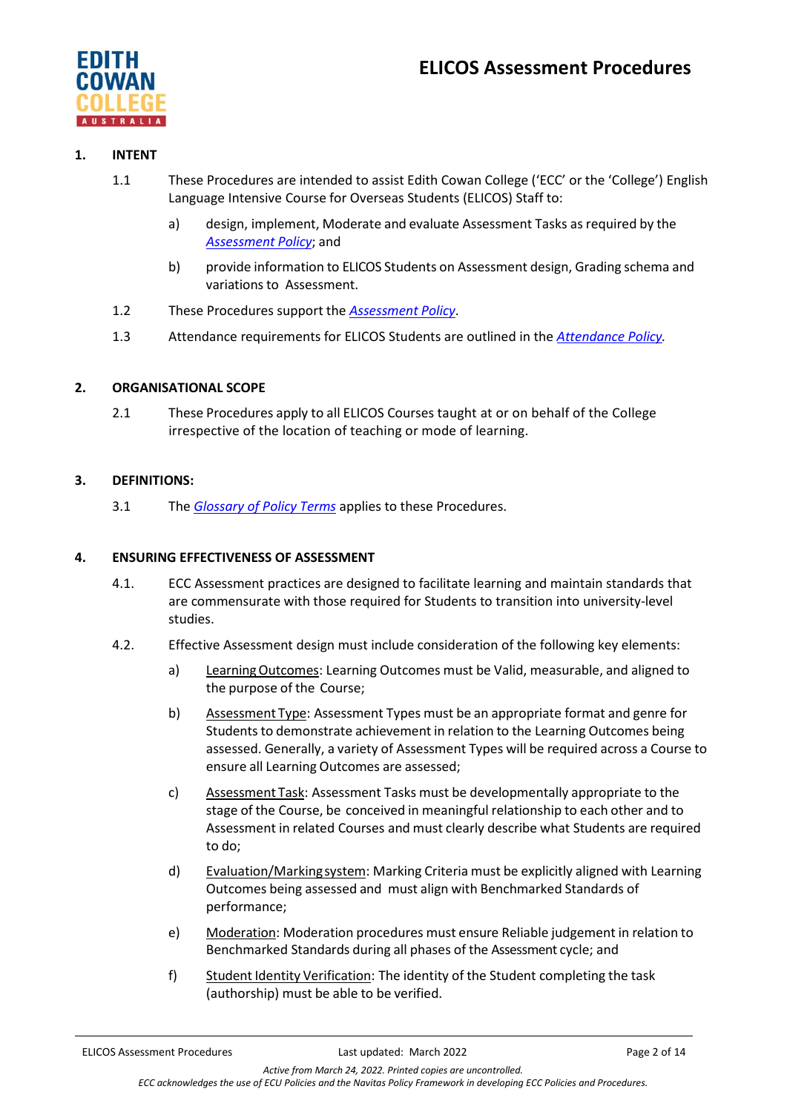

## **1. INTENT**

- 1.1 These Procedures are intended to assist Edith Cowan College ('ECC' or the 'College') English Language Intensive Course for Overseas Students (ELICOS) Staff to:
	- a) design, implement, Moderate and evaluate Assessment Tasks as required by the *[Assessment](https://4ba8a17f01f843446fde-df22fcb26686c8be7ff55766cd6a4144.ssl.cf6.rackcdn.com/73_ECC_Assessment_Policy.pdf) Policy*; and
	- b) provide information to ELICOS Students on Assessment design, Grading schema and variations to Assessment.
- 1.2 These Procedures support the *[Assessment](https://4ba8a17f01f843446fde-df22fcb26686c8be7ff55766cd6a4144.ssl.cf6.rackcdn.com/73_ECC_Assessment_Policy.pdf) Policy*.
- 1.3 Attendance requirements for ELICOS Students are outlined in the *[Attendance Policy.](https://4ba8a17f01f843446fde-df22fcb26686c8be7ff55766cd6a4144.ssl.cf6.rackcdn.com/73_Attendance_Policy.pdf)*

# **2. ORGANISATIONAL SCOPE**

2.1 These Procedures apply to all ELICOS Courses taught at or on behalf of the College irrespective of the location of teaching or mode of learning.

## **3. DEFINITIONS:**

3.1 The *[Glossary of Policy Terms](https://4ba8a17f01f843446fde-df22fcb26686c8be7ff55766cd6a4144.ssl.cf6.rackcdn.com/73_ECC_Glossary_of_Policy_Terms.pdf)* applies to these Procedures.

## **4. ENSURING EFFECTIVENESS OF ASSESSMENT**

- 4.1. ECC Assessment practices are designed to facilitate learning and maintain standards that are commensurate with those required for Students to transition into university-level studies.
- 4.2. Effective Assessment design must include consideration of the following key elements:
	- a) LearningOutcomes: Learning Outcomes must be Valid, measurable, and aligned to the purpose of the Course;
	- b) Assessment Type: Assessment Types must be an appropriate format and genre for Students to demonstrate achievement in relation to the Learning Outcomes being assessed. Generally, a variety of Assessment Types will be required across a Course to ensure all Learning Outcomes are assessed;
	- c) Assessment Task: Assessment Tasks must be developmentally appropriate to the stage of the Course, be conceived in meaningful relationship to each other and to Assessment in related Courses and must clearly describe what Students are required to do;
	- d) Evaluation/Markingsystem: Marking Criteria must be explicitly aligned with Learning Outcomes being assessed and must align with Benchmarked Standards of performance;
	- e) Moderation: Moderation procedures must ensure Reliable judgement in relation to Benchmarked Standards during all phases of the Assessment cycle; and
	- f) Student Identity Verification: The identity of the Student completing the task (authorship) must be able to be verified.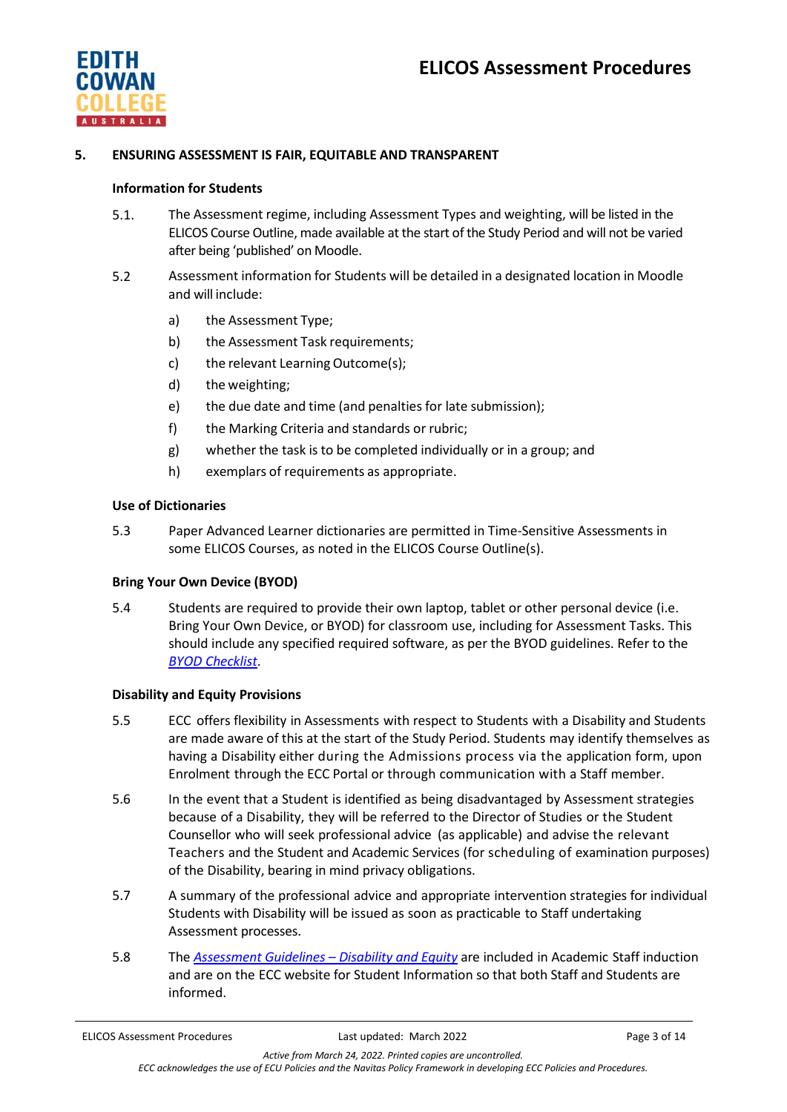

## **5. ENSURING ASSESSMENT IS FAIR, EQUITABLE AND TRANSPARENT**

#### **Information for Students**

- 5.1. The Assessment regime, including Assessment Types and weighting, will be listed in the ELICOS Course Outline, made available at the start of the Study Period and will not be varied after being 'published' on Moodle.
- 5.2 Assessment information for Students will be detailed in a designated location in Moodle and will include:
	- a) the Assessment Type;
	- b) the Assessment Task requirements;
	- c) the relevant Learning Outcome(s);
	- d) the weighting;
	- e) the due date and time (and penalties for late submission);
	- f) the Marking Criteria and standards or rubric;
	- g) whether the task is to be completed individually or in a group; and
	- h) exemplars of requirements as appropriate.

#### **Use of Dictionaries**

5.3 Paper Advanced Learner dictionaries are permitted in Time-Sensitive Assessments in some ELICOS Courses, as noted in the ELICOS Course Outline(s).

## **Bring Your Own Device (BYOD)**

5.4 Students are required to provide their own laptop, tablet or other personal device (i.e. Bring Your Own Device, or BYOD) for classroom use, including for Assessment Tasks. This should include any specified required software, as per the BYOD guidelines. Refer to the *[BYOD Checklist](https://4ba8a17f01f843446fde-df22fcb26686c8be7ff55766cd6a4144.ssl.cf6.rackcdn.com/73_ECC_-_Bring_Your_Own_Device_(BYOD)_Requirements_Checklist.pdf)*.

#### **Disability and Equity Provisions**

- 5.5 ECC offers flexibility in Assessments with respect to Students with a Disability and Students are made aware of this at the start of the Study Period. Students may identify themselves as having a Disability either during the Admissions process via the application form, upon Enrolment through the ECC Portal or through communication with a Staff member.
- 5.6 In the event that a Student is identified as being disadvantaged by Assessment strategies because of a Disability, they will be referred to the Director of Studies or the Student Counsellor who will seek professional advice (as applicable) and advise the relevant Teachers and the Student and Academic Services (for scheduling of examination purposes) of the Disability, bearing in mind privacy obligations.
- 5.7 A summary of the professional advice and appropriate intervention strategies for individual Students with Disability will be issued as soon as practicable to Staff undertaking Assessment processes.
- 5.8 The *Assessment Guidelines – [Disability and Equity](https://4ba8a17f01f843446fde-df22fcb26686c8be7ff55766cd6a4144.ssl.cf6.rackcdn.com/73_AssessmentGuidelines-DisabilityandEquity.pdf)* are included in Academic Staff induction and are on the ECC website for Student Information so that both Staff and Students are informed.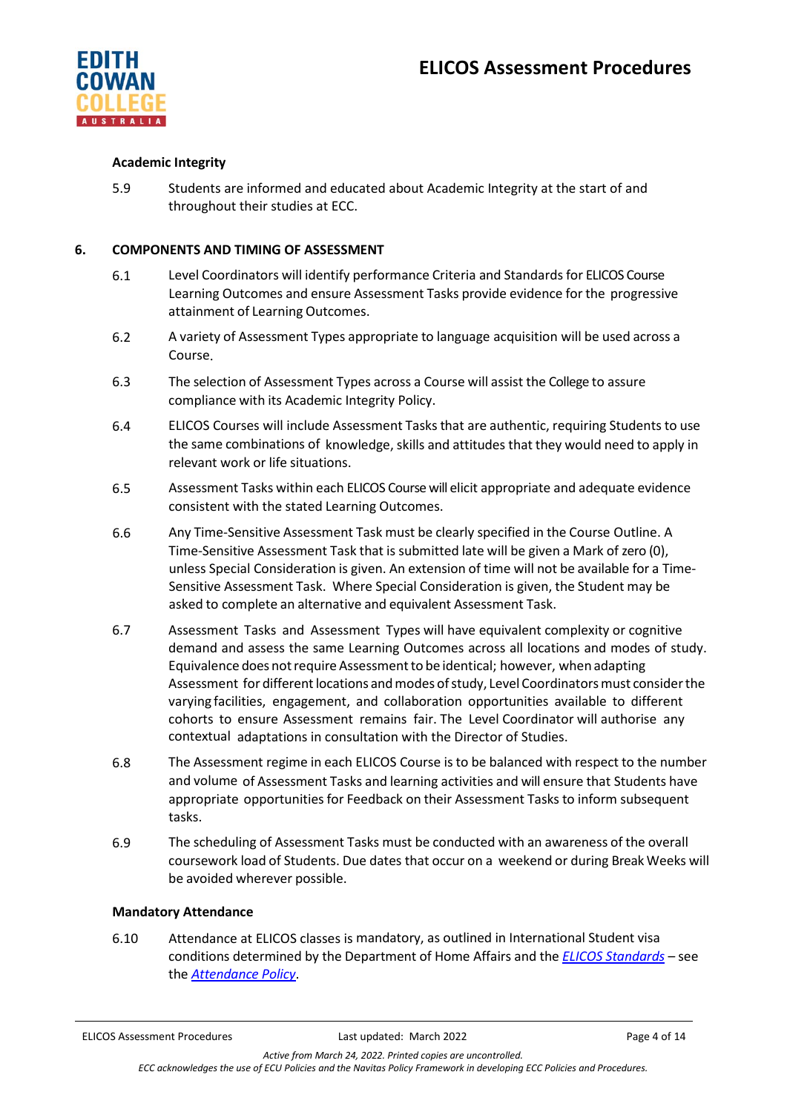

## **Academic Integrity**

5.9 Students are informed and educated about Academic Integrity at the start of and throughout their studies at ECC.

## **6. COMPONENTS AND TIMING OF ASSESSMENT**

- 6.1 Level Coordinators will identify performance Criteria and Standards for ELICOS Course Learning Outcomes and ensure Assessment Tasks provide evidence for the progressive attainment of Learning Outcomes.
- 6.2 A variety of Assessment Types appropriate to language acquisition will be used across a Course.
- 6.3 The selection of Assessment Types across a Course will assist the College to assure compliance with its Academic Integrity Policy.
- 6.4 ELICOS Courses will include Assessment Tasks that are authentic, requiring Students to use the same combinations of knowledge, skills and attitudes that they would need to apply in relevant work or life situations.
- 6.5 Assessment Tasks within each ELICOS Course will elicit appropriate and adequate evidence consistent with the stated Learning Outcomes.
- 6.6 Any Time-Sensitive Assessment Task must be clearly specified in the Course Outline. A Time-Sensitive Assessment Task that is submitted late will be given a Mark of zero (0), unless Special Consideration is given. An extension of time will not be available for a Time-Sensitive Assessment Task. Where Special Consideration is given, the Student may be asked to complete an alternative and equivalent Assessment Task.
- 6.7 Assessment Tasks and Assessment Types will have equivalent complexity or cognitive demand and assess the same Learning Outcomes across all locations and modes of study. Equivalence does not require Assessment to be identical; however, when adapting Assessment for different locations and modes of study, Level Coordinators must consider the varying facilities, engagement, and collaboration opportunities available to different cohorts to ensure Assessment remains fair. The Level Coordinator will authorise any contextual adaptations in consultation with the Director of Studies.
- 6.8 The Assessment regime in each ELICOS Course is to be balanced with respect to the number and volume of Assessment Tasks and learning activities and will ensure that Students have appropriate opportunities for Feedback on their Assessment Tasks to inform subsequent tasks.
- 6.9 The scheduling of Assessment Tasks must be conducted with an awareness of the overall coursework load of Students. Due dates that occur on a weekend or during Break Weeks will be avoided wherever possible.

## **Mandatory Attendance**

6.10 Attendance at ELICOS classes is mandatory, as outlined in International Student visa conditions determined by the Department of Home Affairs and the *[ELICOS Standards](https://www.legislation.gov.au/Details/F2017L01349)* – see the *[Attendance Policy](https://4ba8a17f01f843446fde-df22fcb26686c8be7ff55766cd6a4144.ssl.cf6.rackcdn.com/73_Attendance_Policy.pdf)*.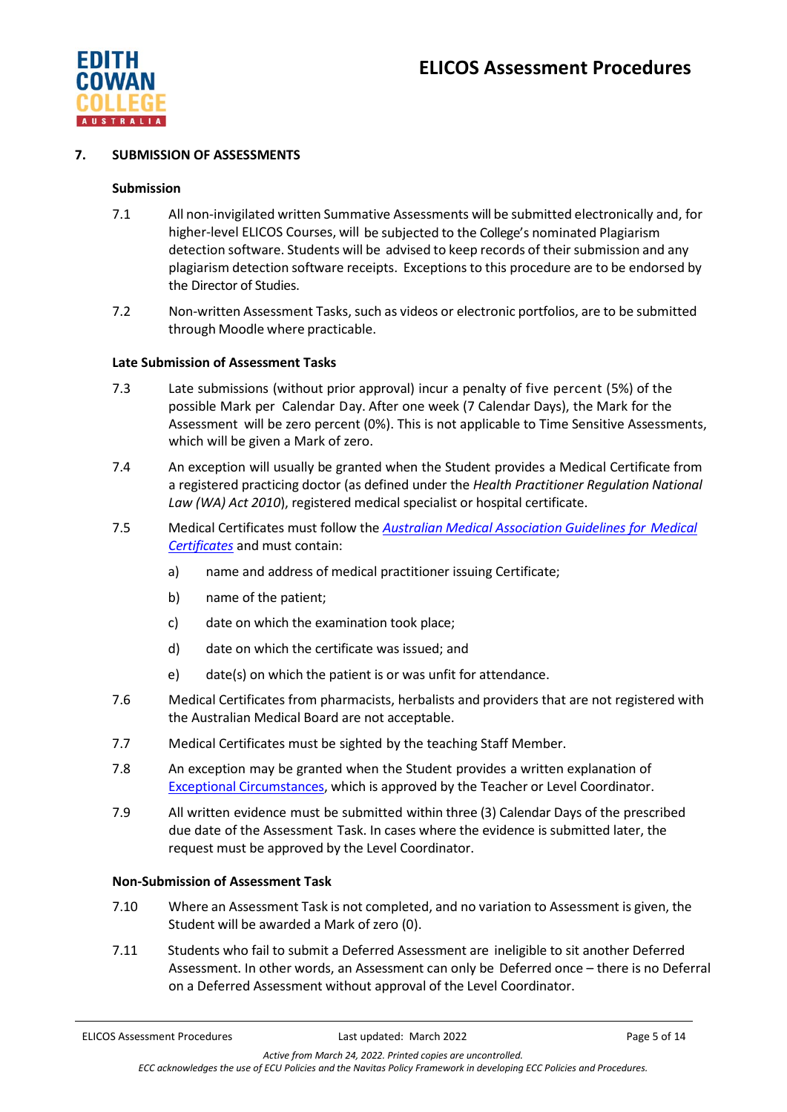

## **7. SUBMISSION OF ASSESSMENTS**

#### **Submission**

- 7.1 All non-invigilated written Summative Assessments will be submitted electronically and, for higher-level ELICOS Courses, will be subjected to the College's nominated Plagiarism detection software. Students will be advised to keep records of their submission and any plagiarism detection software receipts. Exceptions to this procedure are to be endorsed by the Director of Studies.
- 7.2 Non-written Assessment Tasks, such as videos or electronic portfolios, are to be submitted through Moodle where practicable.

## **Late Submission of Assessment Tasks**

- 7.3 Late submissions (without prior approval) incur a penalty of five percent (5%) of the possible Mark per Calendar Day. After one week (7 Calendar Days), the Mark for the Assessment will be zero percent (0%). This is not applicable to Time Sensitive Assessments, which will be given a Mark of zero.
- 7.4 An exception will usually be granted when the Student provides a Medical Certificate from a registered practicing doctor (as defined under the *Health Practitioner Regulation National Law (WA) Act 2010*), registered medical specialist or hospital certificate.
- 7.5 Medical Certificates must follow the *[Australian Medical Association Guidelines](https://www.ama.com.au/position-statement/ama-guidelines-medical-certificates-2011-revised-2016) for Medical [Certificates](https://www.ama.com.au/position-statement/ama-guidelines-medical-certificates-2011-revised-2016)* and must contain:
	- a) name and address of medical practitioner issuing Certificate;
	- b) name of the patient;
	- c) date on which the examination took place;
	- d) date on which the certificate was issued; and
	- e) date(s) on which the patient is or was unfit for attendance.
- 7.6 Medical Certificates from pharmacists, herbalists and providers that are not registered with the Australian Medical Board are not acceptable.
- 7.7 Medical Certificates must be sighted by the teaching Staff Member.
- 7.8 An exception may be granted when the Student provides a written explanation of [Exceptional Circumstances,](https://4ba8a17f01f843446fde-df22fcb26686c8be7ff55766cd6a4144.ssl.cf6.rackcdn.com/73_ECC_Glossary_of_Policy_Terms.pdf) which is approved by the Teacher or Level Coordinator.
- 7.9 All written evidence must be submitted within three (3) Calendar Days of the prescribed due date of the Assessment Task. In cases where the evidence is submitted later, the request must be approved by the Level Coordinator.

#### **Non-Submission of Assessment Task**

- 7.10 Where an Assessment Task is not completed, and no variation to Assessment is given, the Student will be awarded a Mark of zero (0).
- 7.11 Students who fail to submit a Deferred Assessment are ineligible to sit another Deferred Assessment. In other words, an Assessment can only be Deferred once – there is no Deferral on a Deferred Assessment without approval of the Level Coordinator.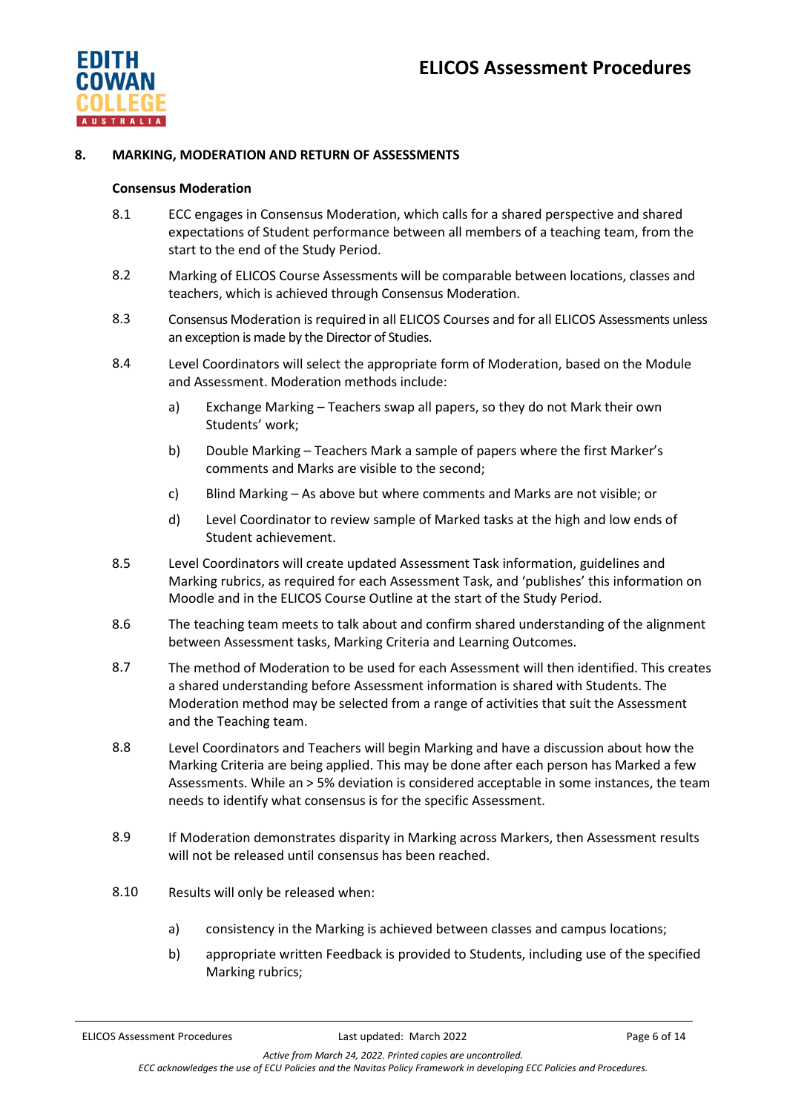

## **8. MARKING, MODERATION AND RETURN OF ASSESSMENTS**

#### **Consensus Moderation**

- 8.1 ECC engages in Consensus Moderation, which calls for a shared perspective and shared expectations of Student performance between all members of a teaching team, from the start to the end of the Study Period.
- 8.2 Marking of ELICOS Course Assessments will be comparable between locations, classes and teachers, which is achieved through Consensus Moderation.
- 8.3 Consensus Moderation is required in all ELICOS Courses and for all ELICOS Assessments unless an exception is made by the Director of Studies.
- 8.4 Level Coordinators will select the appropriate form of Moderation, based on the Module and Assessment. Moderation methods include:
	- a) Exchange Marking Teachers swap all papers, so they do not Mark their own Students' work;
	- b) Double Marking Teachers Mark a sample of papers where the first Marker's comments and Marks are visible to the second;
	- c) Blind Marking As above but where comments and Marks are not visible; or
	- d) Level Coordinator to review sample of Marked tasks at the high and low ends of Student achievement.
- 8.5 Level Coordinators will create updated Assessment Task information, guidelines and Marking rubrics, as required for each Assessment Task, and 'publishes' this information on Moodle and in the ELICOS Course Outline at the start of the Study Period.
- 8.6 The teaching team meets to talk about and confirm shared understanding of the alignment between Assessment tasks, Marking Criteria and Learning Outcomes.
- 8.7 The method of Moderation to be used for each Assessment will then identified. This creates a shared understanding before Assessment information is shared with Students. The Moderation method may be selected from a range of activities that suit the Assessment and the Teaching team.
- 8.8 Level Coordinators and Teachers will begin Marking and have a discussion about how the Marking Criteria are being applied. This may be done after each person has Marked a few Assessments. While an > 5% deviation is considered acceptable in some instances, the team needs to identify what consensus is for the specific Assessment.
- 8.9 If Moderation demonstrates disparity in Marking across Markers, then Assessment results will not be released until consensus has been reached.
- 8.10 Results will only be released when:
	- a) consistency in the Marking is achieved between classes and campus locations;
	- b) appropriate written Feedback is provided to Students, including use of the specified Marking rubrics;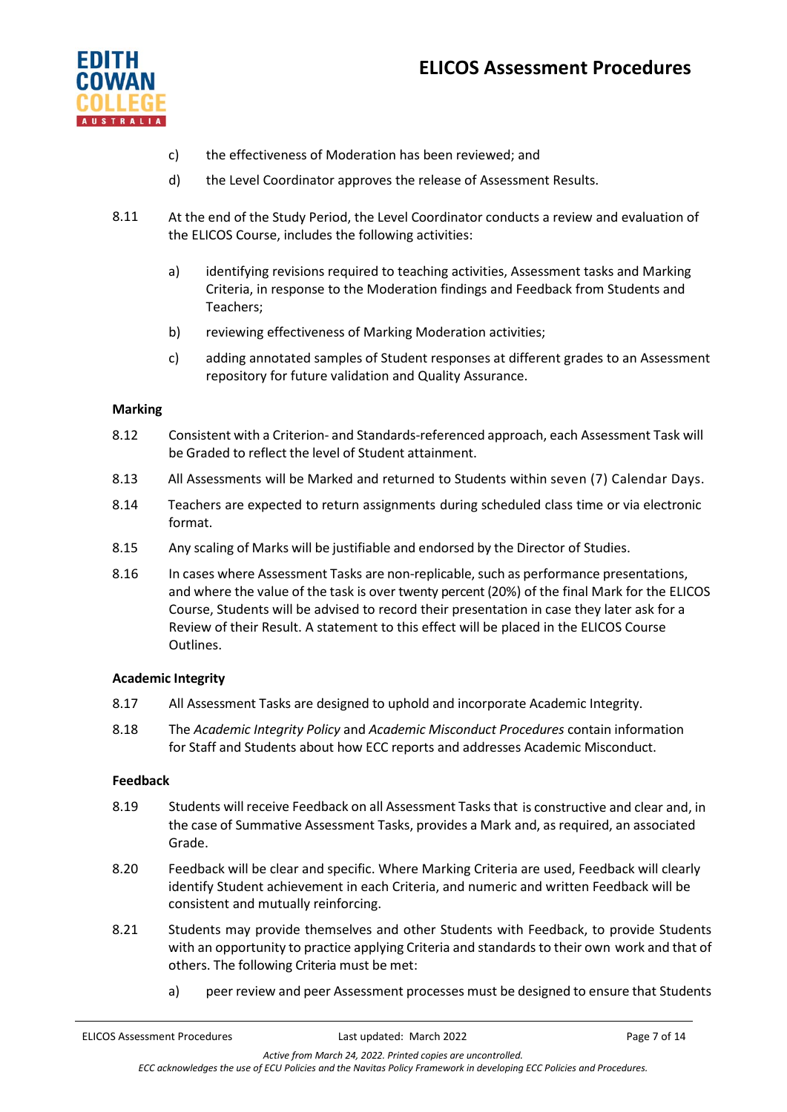# **ELICOS Assessment Procedures**



- c) the effectiveness of Moderation has been reviewed; and
- d) the Level Coordinator approves the release of Assessment Results.
- 8.11 At the end of the Study Period, the Level Coordinator conducts a review and evaluation of the ELICOS Course, includes the following activities:
	- a) identifying revisions required to teaching activities, Assessment tasks and Marking Criteria, in response to the Moderation findings and Feedback from Students and Teachers;
	- b) reviewing effectiveness of Marking Moderation activities;
	- c) adding annotated samples of Student responses at different grades to an Assessment repository for future validation and Quality Assurance.

## **Marking**

- 8.12 Consistent with a Criterion- and Standards-referenced approach, each Assessment Task will be Graded to reflect the level of Student attainment.
- 8.13 All Assessments will be Marked and returned to Students within seven (7) Calendar Days.
- 8.14 Teachers are expected to return assignments during scheduled class time or via electronic format.
- 8.15 Any scaling of Marks will be justifiable and endorsed by the Director of Studies.
- 8.16 In cases where Assessment Tasks are non-replicable, such as performance presentations, and where the value of the task is over twenty percent (20%) of the final Mark for the ELICOS Course, Students will be advised to record their presentation in case they later ask for a Review of their Result. A statement to this effect will be placed in the ELICOS Course Outlines.

## **Academic Integrity**

- 8.17 All Assessment Tasks are designed to uphold and incorporate Academic Integrity.
- 8.18 The *Academic Integrity Policy* and *Academic Misconduct Procedures* contain information for Staff and Students about how ECC reports and addresses Academic Misconduct.

## **Feedback**

- 8.19 Students will receive Feedback on all Assessment Tasks that is constructive and clear and, in the case of Summative Assessment Tasks, provides a Mark and, as required, an associated Grade.
- 8.20 Feedback will be clear and specific. Where Marking Criteria are used, Feedback will clearly identify Student achievement in each Criteria, and numeric and written Feedback will be consistent and mutually reinforcing.
- 8.21 Students may provide themselves and other Students with Feedback, to provide Students with an opportunity to practice applying Criteria and standards to their own work and that of others. The following Criteria must be met:
	- a) peer review and peer Assessment processes must be designed to ensure that Students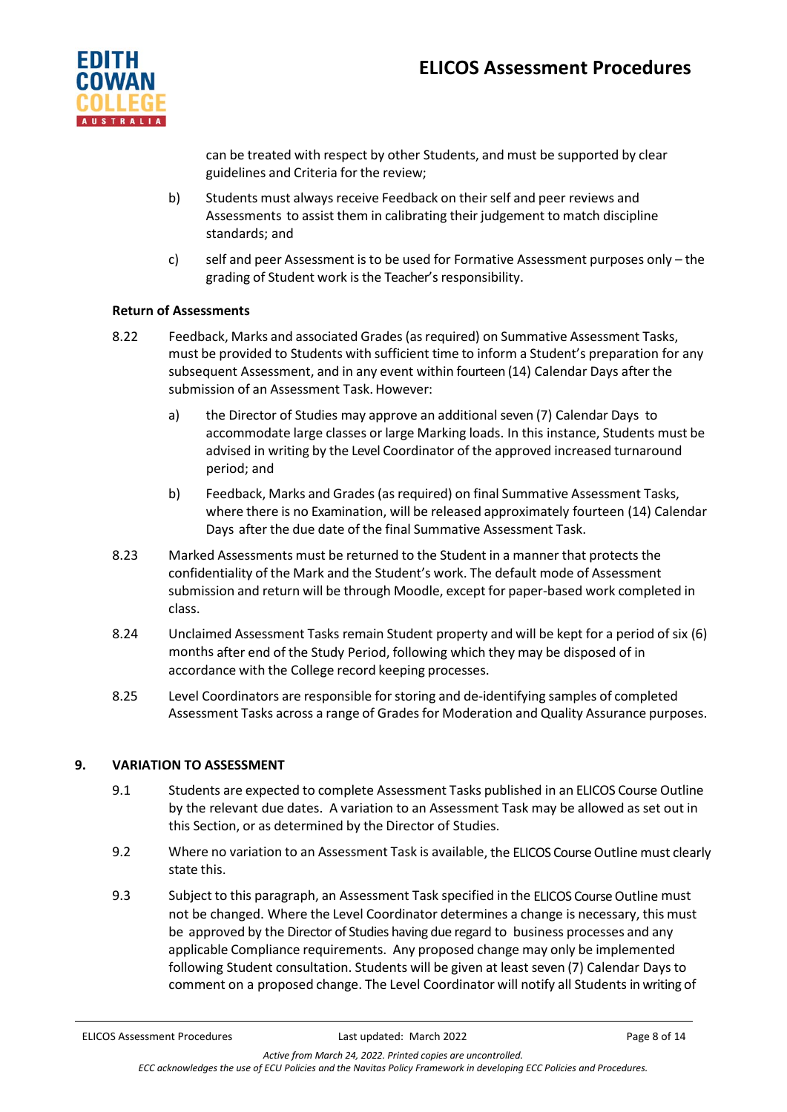

can be treated with respect by other Students, and must be supported by clear guidelines and Criteria for the review;

- b) Students must always receive Feedback on their self and peer reviews and Assessments to assist them in calibrating their judgement to match discipline standards; and
- c) self and peer Assessment is to be used for Formative Assessment purposes only the grading of Student work is the Teacher's responsibility.

## **Return of Assessments**

- 8.22 Feedback, Marks and associated Grades (asrequired) on Summative Assessment Tasks, must be provided to Students with sufficient time to inform a Student's preparation for any subsequent Assessment, and in any event within fourteen (14) Calendar Days after the submission of an Assessment Task.However:
	- a) the Director of Studies may approve an additional seven (7) Calendar Days to accommodate large classes or large Marking loads. In this instance, Students must be advised in writing by the Level Coordinator of the approved increased turnaround period; and
	- b) Feedback, Marks and Grades (as required) on final Summative Assessment Tasks, where there is no Examination, will be released approximately fourteen (14) Calendar Days after the due date of the final Summative Assessment Task.
- 8.23 Marked Assessments must be returned to the Student in a manner that protects the confidentiality of the Mark and the Student's work. The default mode of Assessment submission and return will be through Moodle, except for paper-based work completed in class.
- 8.24 Unclaimed Assessment Tasks remain Student property and will be kept for a period of six (6) months after end of the Study Period, following which they may be disposed of in accordance with the College record keeping processes.
- 8.25 Level Coordinators are responsible forstoring and de-identifying samples of completed Assessment Tasks across a range of Grades for Moderation and Quality Assurance purposes.

## **9. VARIATION TO ASSESSMENT**

- 9.1 Students are expected to complete Assessment Tasks published in an ELICOS Course Outline by the relevant due dates. A variation to an Assessment Task may be allowed as set out in this Section, or as determined by the Director of Studies.
- 9.2 Where no variation to an Assessment Task is available, the ELICOS Course Outline must clearly state this.
- 9.3 Subject to this paragraph, an Assessment Task specified in the ELICOS Course Outline must not be changed. Where the Level Coordinator determines a change is necessary, this must be approved by the Director of Studies having due regard to business processes and any applicable Compliance requirements. Any proposed change may only be implemented following Student consultation. Students will be given at least seven (7) Calendar Days to comment on a proposed change. The Level Coordinator will notify all Students in writing of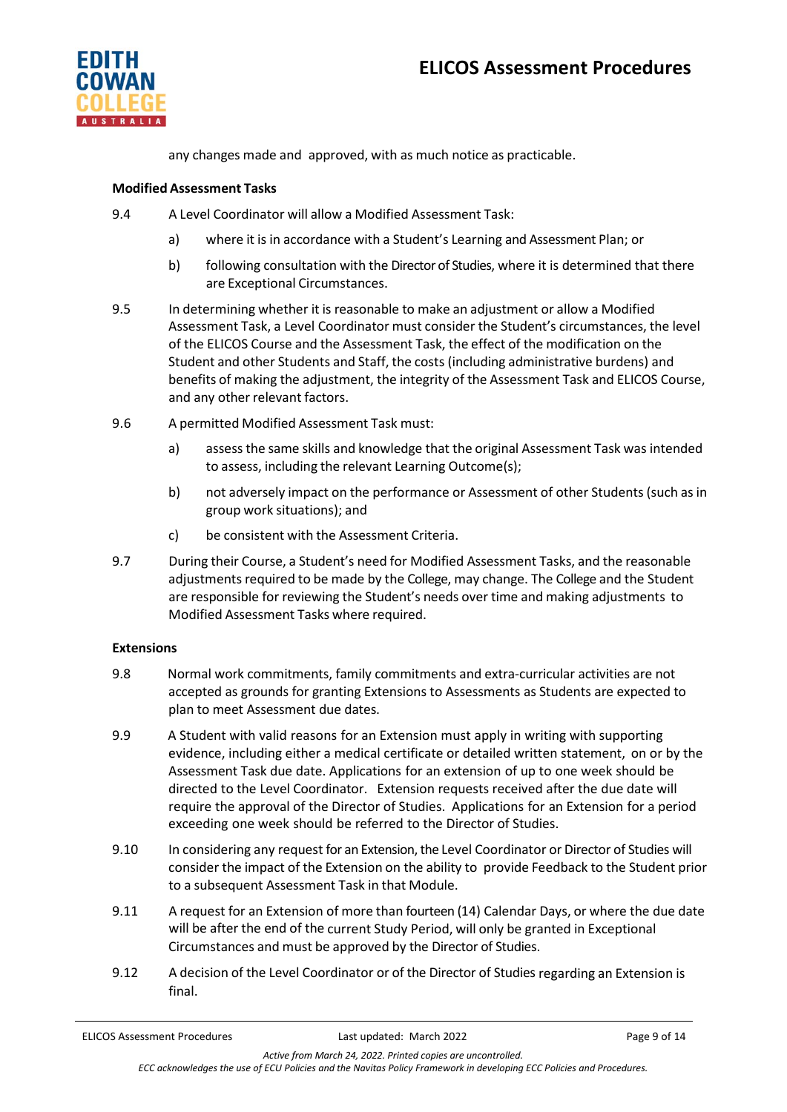

any changes made and approved, with as much notice as practicable.

## **Modified Assessment Tasks**

- 9.4 A Level Coordinator will allow a Modified Assessment Task:
	- a) where it is in accordance with a Student's Learning and Assessment Plan; or
	- b) following consultation with the Director of Studies, where it is determined that there are Exceptional Circumstances.
- 9.5 In determining whether it is reasonable to make an adjustment or allow a Modified Assessment Task, a Level Coordinator must consider the Student's circumstances, the level of the ELICOS Course and the Assessment Task, the effect of the modification on the Student and other Students and Staff, the costs (including administrative burdens) and benefits of making the adjustment, the integrity of the Assessment Task and ELICOS Course, and any other relevant factors.
- 9.6 A permitted Modified Assessment Task must:
	- a) assessthe same skills and knowledge that the original Assessment Task was intended to assess, including the relevant Learning Outcome(s);
	- b) not adversely impact on the performance or Assessment of other Students (such as in group work situations); and
	- c) be consistent with the Assessment Criteria.
- 9.7 During their Course, a Student's need for Modified Assessment Tasks, and the reasonable adjustments required to be made by the College, may change. The College and the Student are responsible for reviewing the Student's needs over time and making adjustments to Modified Assessment Tasks where required.

#### **Extensions**

- 9.8 Normal work commitments, family commitments and extra-curricular activities are not accepted as grounds for granting Extensions to Assessments as Students are expected to plan to meet Assessment due dates.
- 9.9 A Student with valid reasons for an Extension must apply in writing with supporting evidence, including either a medical certificate or detailed written statement, on or by the Assessment Task due date. Applications for an extension of up to one week should be directed to the Level Coordinator. Extension requests received after the due date will require the approval of the Director of Studies. Applications for an Extension for a period exceeding one week should be referred to the Director of Studies.
- 9.10 In considering any request for an Extension, the Level Coordinator or Director of Studies will consider the impact of the Extension on the ability to provide Feedback to the Student prior to a subsequent Assessment Task in that Module.
- 9.11 A request for an Extension of more than fourteen (14) Calendar Days, or where the due date will be after the end of the current Study Period, will only be granted in Exceptional Circumstances and must be approved by the Director of Studies.
- 9.12 A decision of the Level Coordinator or of the Director of Studies regarding an Extension is final.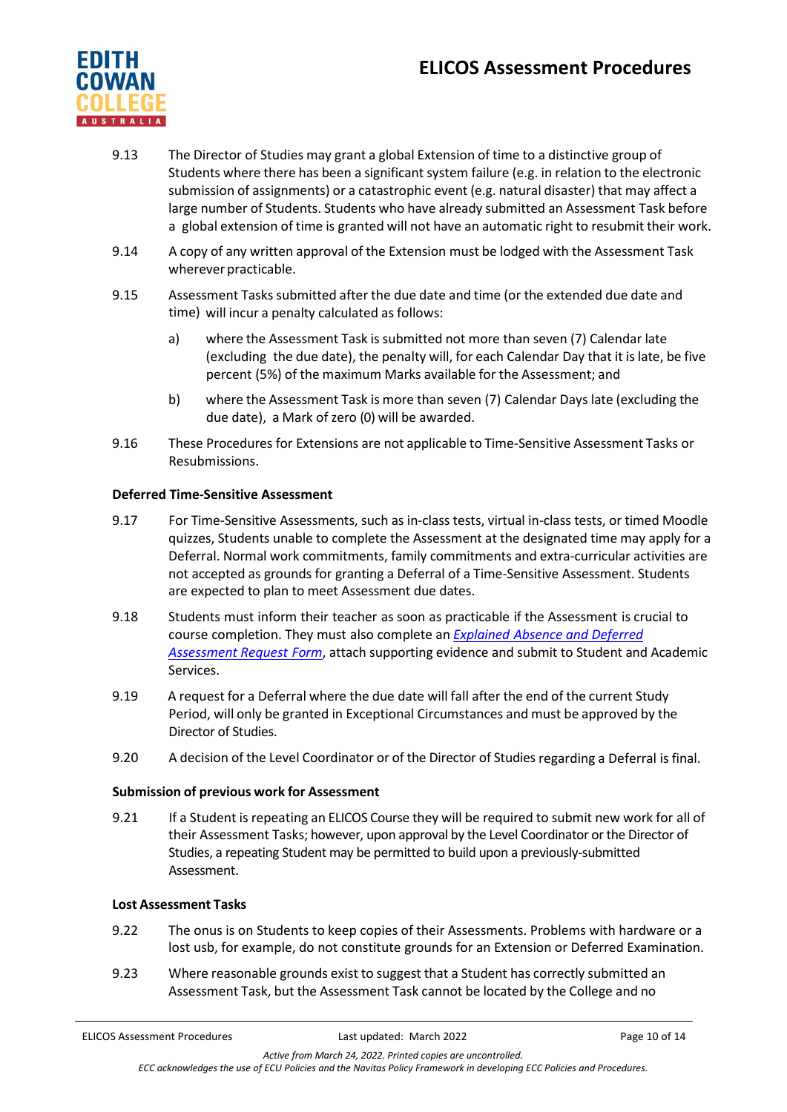# **ELICOS Assessment Procedures**



- 9.13 The Director of Studies may grant a global Extension of time to a distinctive group of Students where there has been a significant system failure (e.g. in relation to the electronic submission of assignments) or a catastrophic event (e.g. natural disaster) that may affect a large number of Students. Students who have already submitted an Assessment Task before a global extension of time is granted will not have an automatic right to resubmit their work.
- 9.14 A copy of any written approval of the Extension must be lodged with the Assessment Task wherever practicable.
- 9.15 Assessment Tasks submitted after the due date and time (or the extended due date and time) will incur a penalty calculated as follows:
	- a) where the Assessment Task is submitted not more than seven (7) Calendar late (excluding the due date), the penalty will, for each Calendar Day that it is late, be five percent (5%) of the maximum Marks available for the Assessment; and
	- b) where the Assessment Task is more than seven (7) Calendar Days late (excluding the due date), a Mark of zero (0) will be awarded.
- 9.16 These Procedures for Extensions are not applicable to Time-Sensitive Assessment Tasks or Resubmissions.

## **Deferred Time-Sensitive Assessment**

- 9.17 For Time-Sensitive Assessments, such as in-class tests, virtual in-class tests, or timed Moodle quizzes, Students unable to complete the Assessment at the designated time may apply for a Deferral. Normal work commitments, family commitments and extra-curricular activities are not accepted as grounds for granting a Deferral of a Time-Sensitive Assessment. Students are expected to plan to meet Assessment due dates.
- 9.18 Students must inform their teacher as soon as practicable if the Assessment is crucial to course completion. They must also complete an *Explained Absence [and Deferred](https://4ba8a17f01f843446fde-df22fcb26686c8be7ff55766cd6a4144.ssl.cf6.rackcdn.com/73_Explained_Absence_And_Deferred_Assessment_Request.pdf)  [Assessment](https://4ba8a17f01f843446fde-df22fcb26686c8be7ff55766cd6a4144.ssl.cf6.rackcdn.com/73_Explained_Absence_And_Deferred_Assessment_Request.pdf) Request Form*, attach supporting evidence and submit to Student and Academic Services.
- 9.19 A request for a Deferral where the due date will fall after the end of the current Study Period, will only be granted in Exceptional Circumstances and must be approved by the Director of Studies.
- 9.20 A decision of the Level Coordinator or of the Director of Studies regarding a Deferral is final.

## **Submission of previous work for Assessment**

9.21 If a Student is repeating an ELICOS Course they will be required to submit new work for all of their Assessment Tasks; however, upon approval by the Level Coordinator or the Director of Studies, a repeating Student may be permitted to build upon a previously-submitted Assessment.

#### **Lost Assessment Tasks**

- 9.22 The onus is on Students to keep copies of their Assessments. Problems with hardware or a lost usb, for example, do not constitute grounds for an Extension or Deferred Examination.
- 9.23 Where reasonable grounds exist to suggest that a Student has correctly submitted an Assessment Task, but the Assessment Task cannot be located by the College and no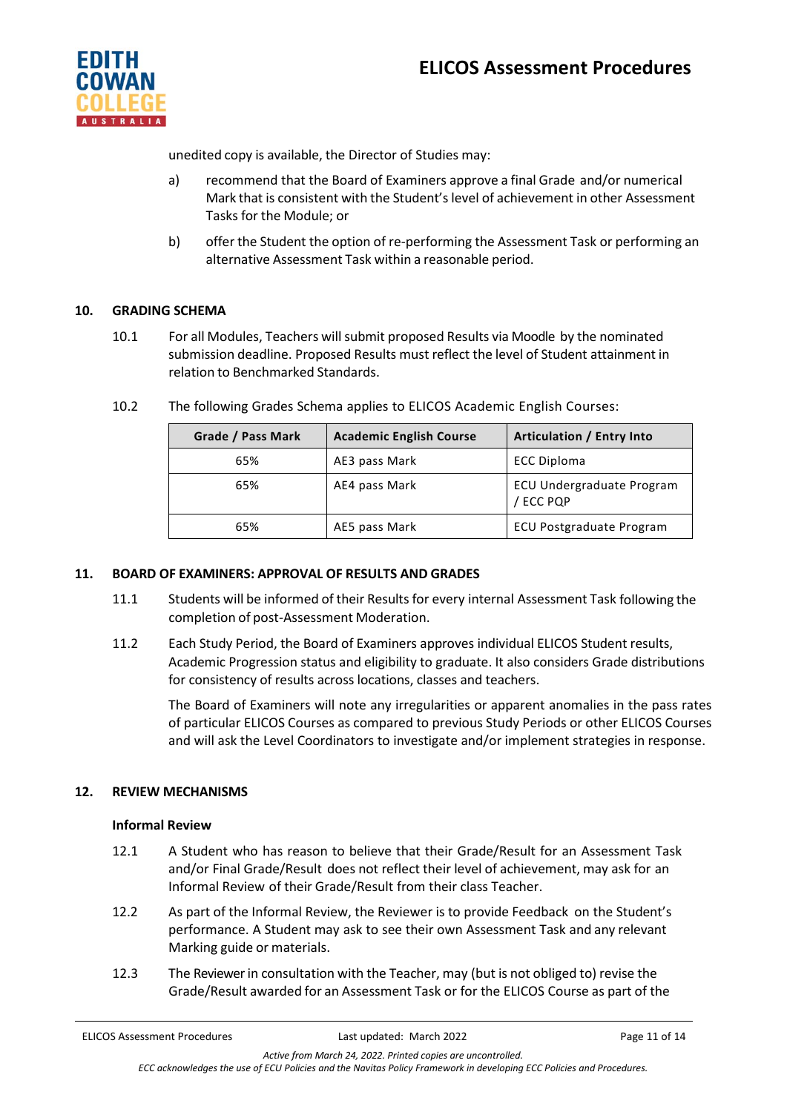

unedited copy is available, the Director of Studies may:

- a) recommend that the Board of Examiners approve a final Grade and/or numerical Mark that is consistent with the Student's level of achievement in other Assessment Tasks for the Module; or
- b) offer the Student the option of re-performing the Assessment Task or performing an alternative Assessment Task within a reasonable period.

## **10. GRADING SCHEMA**

10.1 For all Modules, Teachers willsubmit proposed Results via Moodle by the nominated submission deadline. Proposed Results must reflect the level of Student attainment in relation to Benchmarked Standards.

| Grade / Pass Mark | <b>Academic English Course</b> | Articulation / Entry Into              |
|-------------------|--------------------------------|----------------------------------------|
| 65%               | AE3 pass Mark                  | ECC Diploma                            |
| 65%               | AE4 pass Mark                  | ECU Undergraduate Program<br>/ ECC PQP |
| 65%               | AE5 pass Mark                  | <b>ECU Postgraduate Program</b>        |

10.2 The following Grades Schema applies to ELICOS Academic English Courses:

## **11. BOARD OF EXAMINERS: APPROVAL OF RESULTS AND GRADES**

- 11.1 Students will be informed of their Results for every internal Assessment Task following the completion of post-Assessment Moderation.
- 11.2 Each Study Period, the Board of Examiners approves individual ELICOS Student results, Academic Progression status and eligibility to graduate. It also considers Grade distributions for consistency of results across locations, classes and teachers.

The Board of Examiners will note any irregularities or apparent anomalies in the pass rates of particular ELICOS Courses as compared to previous Study Periods or other ELICOS Courses and will ask the Level Coordinators to investigate and/or implement strategies in response.

## **12. REVIEW MECHANISMS**

#### **Informal Review**

- 12.1 A Student who has reason to believe that their Grade/Result for an Assessment Task and/or Final Grade/Result does not reflect their level of achievement, may ask for an Informal Review of their Grade/Result from their class Teacher.
- 12.2 As part of the Informal Review, the Reviewer is to provide Feedback on the Student's performance. A Student may ask to see their own Assessment Task and any relevant Marking guide or materials.
- 12.3 The Reviewerin consultation with the Teacher, may (but is not obliged to) revise the Grade/Result awarded for an Assessment Task or for the ELICOS Course as part of the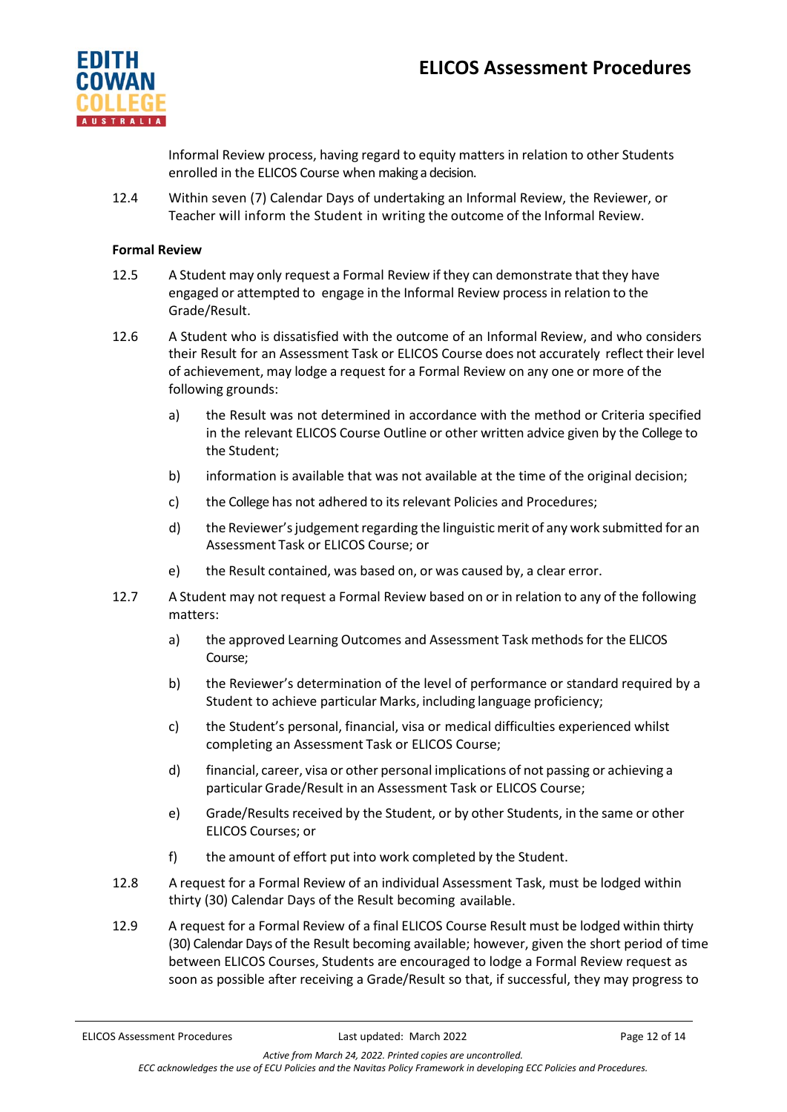

Informal Review process, having regard to equity matters in relation to other Students enrolled in the ELICOS Course when making a decision.

12.4 Within seven (7) Calendar Days of undertaking an Informal Review, the Reviewer, or Teacher will inform the Student in writing the outcome of the Informal Review.

#### **Formal Review**

- 12.5 A Student may only request a Formal Review if they can demonstrate that they have engaged or attempted to engage in the Informal Review process in relation to the Grade/Result.
- 12.6 A Student who is dissatisfied with the outcome of an Informal Review, and who considers their Result for an Assessment Task or ELICOS Course does not accurately reflect their level of achievement, may lodge a request for a Formal Review on any one or more of the following grounds:
	- a) the Result was not determined in accordance with the method or Criteria specified in the relevant ELICOS Course Outline or other written advice given by the College to the Student;
	- b) information is available that was not available at the time of the original decision;
	- c) the College has not adhered to its relevant Policies and Procedures;
	- d) the Reviewer'sjudgementregarding the linguistic merit of any work submitted for an Assessment Task or ELICOS Course; or
	- e) the Result contained, was based on, or was caused by, a clear error.
- 12.7 A Student may not request a Formal Review based on or in relation to any of the following matters:
	- a) the approved Learning Outcomes and Assessment Task methods for the ELICOS Course;
	- b) the Reviewer's determination of the level of performance or standard required by a Student to achieve particular Marks, including language proficiency;
	- c) the Student's personal, financial, visa or medical difficulties experienced whilst completing an Assessment Task or ELICOS Course;
	- d) financial, career, visa or other personal implications of not passing or achieving a particular Grade/Result in an Assessment Task or ELICOS Course;
	- e) Grade/Results received by the Student, or by other Students, in the same or other ELICOS Courses; or
	- f) the amount of effort put into work completed by the Student.
- 12.8 A request for a Formal Review of an individual Assessment Task, must be lodged within thirty (30) Calendar Days of the Result becoming available.
- 12.9 A request for a Formal Review of a final ELICOS Course Result must be lodged within thirty (30) Calendar Days of the Result becoming available; however, given the short period of time between ELICOS Courses, Students are encouraged to lodge a Formal Review request as soon as possible after receiving a Grade/Result so that, if successful, they may progress to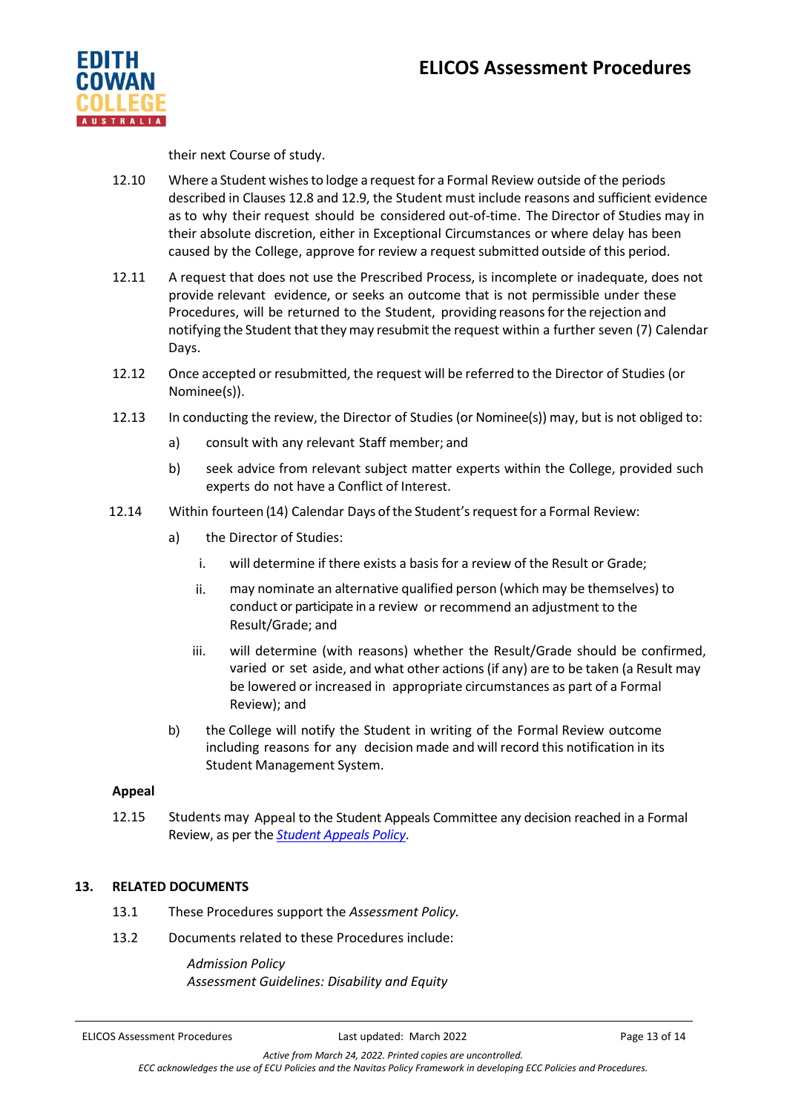

their next Course of study.

- 12.10 Where a Student wishesto lodge a request for a Formal Review outside of the periods described in Clauses 12.8 and 12.9, the Student must include reasons and sufficient evidence as to why their request should be considered out-of-time. The Director of Studies may in their absolute discretion, either in Exceptional Circumstances or where delay has been caused by the College, approve for review a request submitted outside of this period.
- 12.11 A request that does not use the Prescribed Process, is incomplete or inadequate, does not provide relevant evidence, or seeks an outcome that is not permissible under these Procedures, will be returned to the Student, providing reasonsforthe rejection and notifying the Student that they may resubmit the request within a further seven (7) Calendar Days.
- 12.12 Once accepted or resubmitted, the request will be referred to the Director of Studies (or Nominee(s)).
- 12.13 In conducting the review, the Director of Studies (or Nominee(s)) may, but is not obliged to:
	- a) consult with any relevant Staff member; and
	- b) seek advice from relevant subject matter experts within the College, provided such experts do not have a Conflict of Interest.
- 12.14 Within fourteen (14) Calendar Days of the Student's request for a Formal Review:
	- a) the Director of Studies:
		- i. will determine if there exists a basis for a review of the Result or Grade;
		- ii. may nominate an alternative qualified person (which may be themselves) to conduct or participate in a review or recommend an adjustment to the Result/Grade; and
		- iii. will determine (with reasons) whether the Result/Grade should be confirmed, varied or set aside, and what other actions(if any) are to be taken (a Result may be lowered or increased in appropriate circumstances as part of a Formal Review); and
	- b) the College will notify the Student in writing of the Formal Review outcome including reasons for any decision made and will record this notification in its Student Management System.

#### **Appeal**

12.15 Students may Appeal to the Student Appeals Committee any decision reached in a Formal Review, as per the *Student [Appeals Policy](https://4ba8a17f01f843446fde-df22fcb26686c8be7ff55766cd6a4144.ssl.cf6.rackcdn.com/73_ECC_Student_Appeals_Policy.pdf)*.

## **13. RELATED DOCUMENTS**

- 13.1 These Procedures support the *Assessment Policy.*
- 13.2 Documents related to these Procedures include:

*Admission Policy Assessment Guidelines: Disability and Equity*

ELICOS Assessment Procedures **Last updated:** March 2022 **Page 13 of 14** Page 13 of 14

*Active from March 24, 2022. Printed copies are uncontrolled. ECC acknowledges the use of ECU Policies and the Navitas Policy Framework in developing ECC Policies and Procedures.*